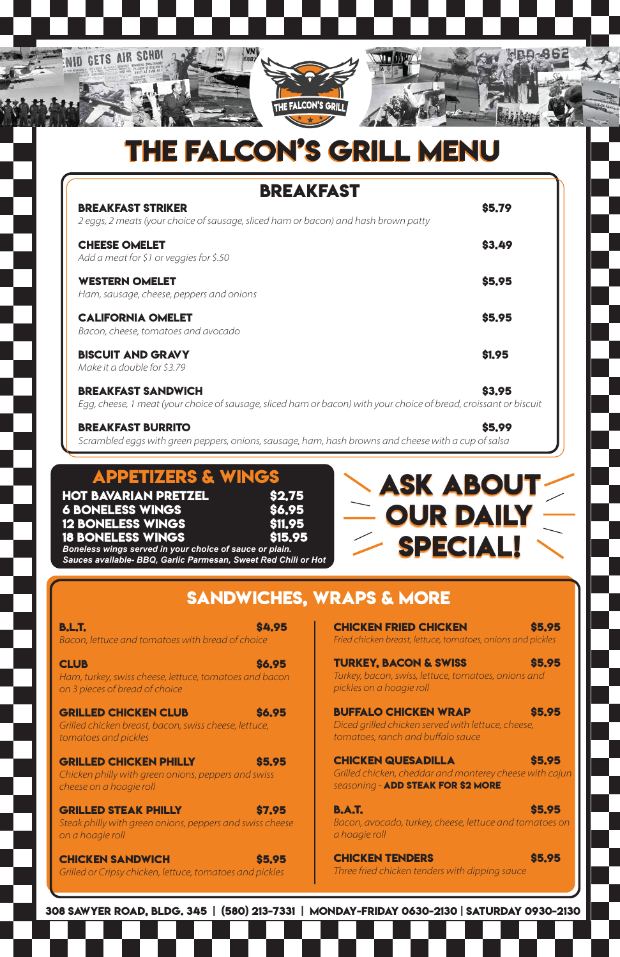#### **308 Sawyer Road, Bldg. 345 | (580) 213-7331 | Monday-Friday 0630-2130 | Saturday 0930-2130**

## **Sandwiches, Wraps & MORE**

**B.L.T.** \$4.95 Bacon, lettuce and tomatoes with bread of choice

**CLUB** \$6.95

Ham, turkey, swiss cheese, lettuce, tomatoes and bacon on 3 pieces of bread of choice

**Chicken Fried Chicken \$5.95** Fried chicken breast, lettuce, tomatoes, onions and pickles

#### **Grilled Chicken Philly \$5.95**

**Chicken philly with green onions, peppers and swiss** *cheese on a hoagie roll* 

#### **Grilled Steak Philly \$7.95**

Steak philly with green onions, peppers and swiss cheese on a hoagie roll

#### **CHICKEN SANDWICH \$5.95**

Grilled or Cripsy chicken, lettuce, tomatoes and pickles

### **Turkey, Bacon & Swiss \$5.95**

Turkey, bacon, swiss, lettuce, tomatoes, onions and pickles on a hoagie roll

### **GRILLED CHICKEN CLUB \$6.95**

Grilled chicken breast, bacon, swiss cheese, lettuce, tomatoes and pickles

#### **Buffalo Chicken Wrap \$5.95**

Diced grilled chicken served with lettuce, cheese, tomatoes, ranch and buffalo sauce

#### **CHICKEN QUESADILLA** \$5.95

Grilled chicken, cheddar and monterey cheese with cajun seasoning - **ADD STEAK FOR \$2 MORE** 

### **B.A.T.** \$5.95

Bacon, avocado, turkey, cheese, lettuce and tomatoes on *a* hoagie roll

#### **Chicken Tenders \$5.95**

Three fried chicken tenders with dipping sauce



# **THE FALCON'S GRILL MENU THE FALCON'S GRILL MENU**

| <b>BREAKFAST</b>                                                                                                                               |               |  |  |
|------------------------------------------------------------------------------------------------------------------------------------------------|---------------|--|--|
| <b>BREAKFAST STRIKER</b><br>2 eggs, 2 meats (your choice of sausage, sliced ham or bacon) and hash brown patty                                 | \$5,79        |  |  |
| <b>CHEESE OMELET</b><br>Add a meat for \$1 or veggies for \$.50                                                                                | \$3.49        |  |  |
| <b>WESTERN OMELET</b><br>Ham, sausage, cheese, peppers and onions                                                                              | \$5.95        |  |  |
| <b>CALIFORNIA OMELET</b><br>Bacon, cheese, tomatoes and avocado                                                                                | \$5.95        |  |  |
| <b>BISCUIT AND GRAVY</b><br>Make it a double for \$3.79                                                                                        | <b>\$1.95</b> |  |  |
| <b>BREAKFAST SANDWICH</b><br>Egg, cheese, 1 meat (your choice of sausage, sliced ham or bacon) with your choice of bread, croissant or biscuit | \$3.95        |  |  |

**BREAKFAST BURRITO \$5.99** Scrambled eggs with green peppers, onions, sausage, ham, hash browns and cheese with a cup of salsa

## **APPETIZERS & WING**

**HOT BAVARIAN PRETZEL 6 Boneless Wings \$6.95 12 BONELESS WINGS 18 BONELESS WINGS** 

| <b>P</b>      |  |
|---------------|--|
| \$2.75        |  |
|               |  |
| \$6.95        |  |
| <b>S11.95</b> |  |
| <b>S15.95</b> |  |
|               |  |

*Boneless wings served in your choice of sauce or plain. Sauces available- BBQ, Garlic Parmesan, Sweet Red Chili or Hot*